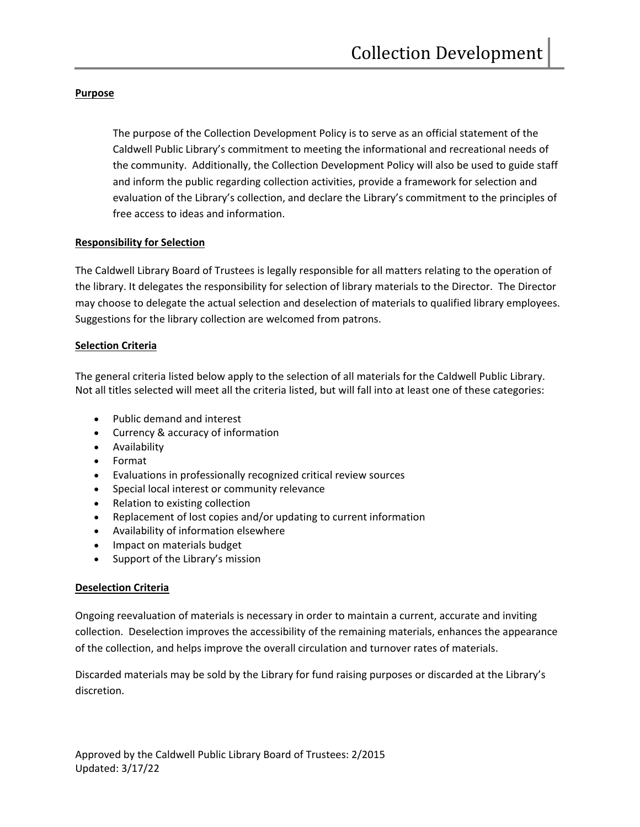#### **Purpose**

The purpose of the Collection Development Policy is to serve as an official statement of the Caldwell Public Library's commitment to meeting the informational and recreational needs of the community. Additionally, the Collection Development Policy will also be used to guide staff and inform the public regarding collection activities, provide a framework for selection and evaluation of the Library's collection, and declare the Library's commitment to the principles of free access to ideas and information.

#### **Responsibility for Selection**

The Caldwell Library Board of Trustees is legally responsible for all matters relating to the operation of the library. It delegates the responsibility for selection of library materials to the Director. The Director may choose to delegate the actual selection and deselection of materials to qualified library employees. Suggestions for the library collection are welcomed from patrons.

#### **Selection Criteria**

The general criteria listed below apply to the selection of all materials for the Caldwell Public Library. Not all titles selected will meet all the criteria listed, but will fall into at least one of these categories:

- Public demand and interest
- Currency & accuracy of information
- Availability
- Format
- Evaluations in professionally recognized critical review sources
- Special local interest or community relevance
- Relation to existing collection
- Replacement of lost copies and/or updating to current information
- Availability of information elsewhere
- Impact on materials budget
- Support of the Library's mission

### **Deselection Criteria**

Ongoing reevaluation of materials is necessary in order to maintain a current, accurate and inviting collection. Deselection improves the accessibility of the remaining materials, enhances the appearance of the collection, and helps improve the overall circulation and turnover rates of materials.

Discarded materials may be sold by the Library for fund raising purposes or discarded at the Library's discretion.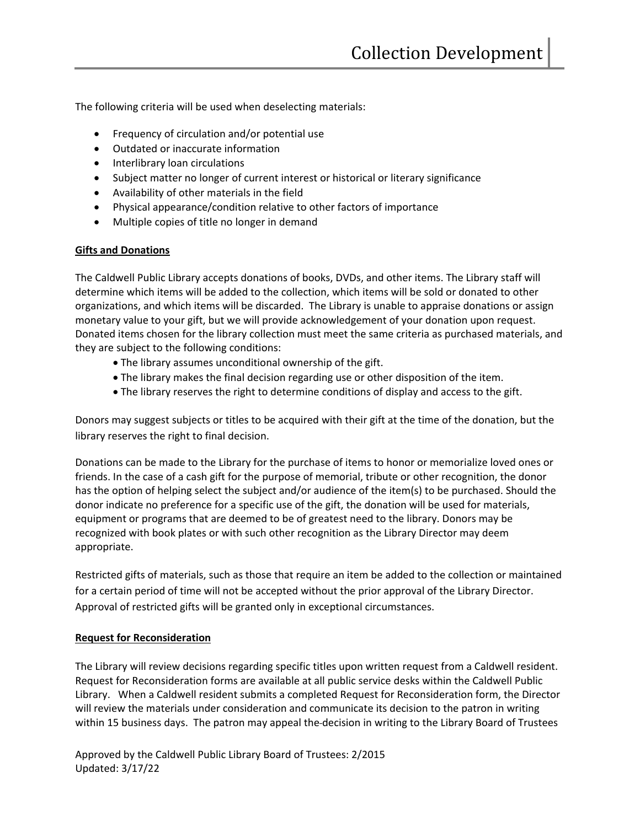The following criteria will be used when deselecting materials:

- Frequency of circulation and/or potential use
- Outdated or inaccurate information
- Interlibrary loan circulations
- Subject matter no longer of current interest or historical or literary significance
- Availability of other materials in the field
- Physical appearance/condition relative to other factors of importance
- Multiple copies of title no longer in demand

#### **Gifts and Donations**

The Caldwell Public Library accepts donations of books, DVDs, and other items. The Library staff will determine which items will be added to the collection, which items will be sold or donated to other organizations, and which items will be discarded. The Library is unable to appraise donations or assign monetary value to your gift, but we will provide acknowledgement of your donation upon request. Donated items chosen for the library collection must meet the same criteria as purchased materials, and they are subject to the following conditions:

- The library assumes unconditional ownership of the gift.
- The library makes the final decision regarding use or other disposition of the item.
- The library reserves the right to determine conditions of display and access to the gift.

Donors may suggest subjects or titles to be acquired with their gift at the time of the donation, but the library reserves the right to final decision.

Donations can be made to the Library for the purchase of items to honor or memorialize loved ones or friends. In the case of a cash gift for the purpose of memorial, tribute or other recognition, the donor has the option of helping select the subject and/or audience of the item(s) to be purchased. Should the donor indicate no preference for a specific use of the gift, the donation will be used for materials, equipment or programs that are deemed to be of greatest need to the library. Donors may be recognized with book plates or with such other recognition as the Library Director may deem appropriate.

Restricted gifts of materials, such as those that require an item be added to the collection or maintained for a certain period of time will not be accepted without the prior approval of the Library Director. Approval of restricted gifts will be granted only in exceptional circumstances.

#### **Request for Reconsideration**

The Library will review decisions regarding specific titles upon written request from a Caldwell resident. Request for Reconsideration forms are available at all public service desks within the Caldwell Public Library. When a Caldwell resident submits a completed Request for Reconsideration form, the Director will review the materials under consideration and communicate its decision to the patron in writing within 15 business days. The patron may appeal the decision in writing to the Library Board of Trustees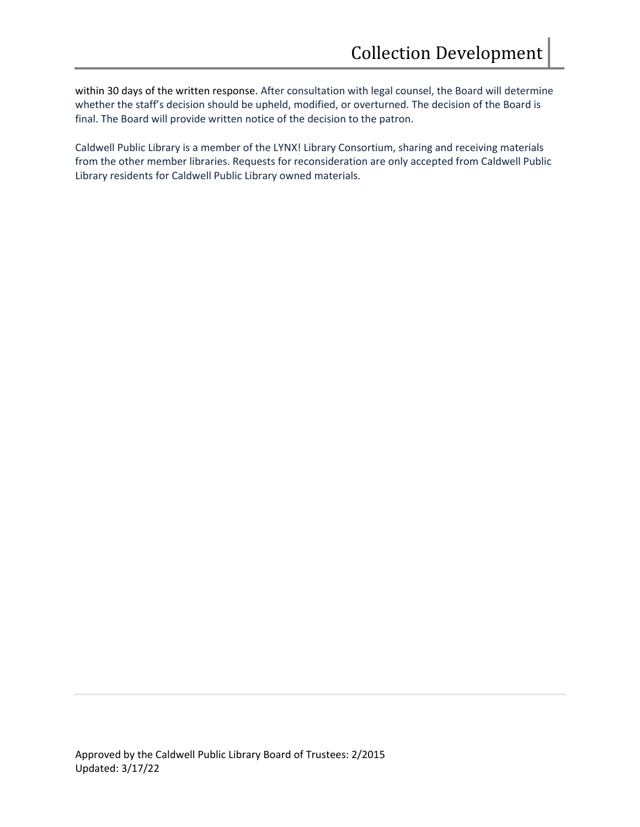within 30 days of the written response. After consultation with legal counsel, the Board will determine whether the staff's decision should be upheld, modified, or overturned. The decision of the Board is final. The Board will provide written notice of the decision to the patron.

Caldwell Public Library is a member of the LYNX! Library Consortium, sharing and receiving materials from the other member libraries. Requests for reconsideration are only accepted from Caldwell Public Library residents for Caldwell Public Library owned materials.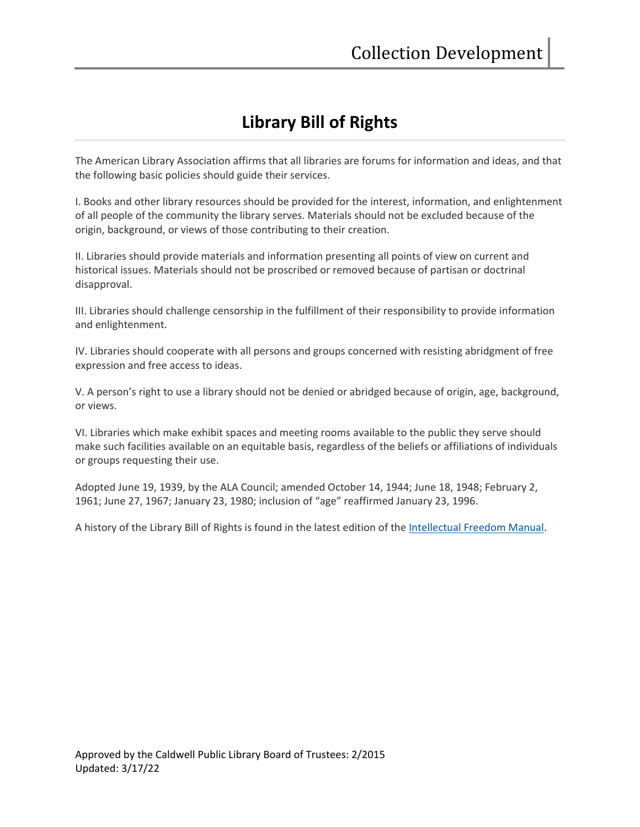# **Library Bill of Rights**

The American Library Association affirms that all libraries are forums for information and ideas, and that the following basic policies should guide their services.

I. Books and other library resources should be provided for the interest, information, and enlightenment of all people of the community the library serves. Materials should not be excluded because of the origin, background, or views of those contributing to their creation.

II. Libraries should provide materials and information presenting all points of view on current and historical issues. Materials should not be proscribed or removed because of partisan or doctrinal disapproval.

III. Libraries should challenge censorship in the fulfillment of their responsibility to provide information and enlightenment.

IV. Libraries should cooperate with all persons and groups concerned with resisting abridgment of free expression and free access to ideas.

V. A person's right to use a library should not be denied or abridged because of origin, age, background, or views.

VI. Libraries which make exhibit spaces and meeting rooms available to the public they serve should make such facilities available on an equitable basis, regardless of the beliefs or affiliations of individuals or groups requesting their use.

Adopted June 19, 1939, by the ALA Council; amended October 14, 1944; June 18, 1948; February 2, 1961; June 27, 1967; January 23, 1980; inclusion of "age" reaffirmed January 23, 1996.

A history of the Library Bill of Rights is found in the latest edition of the [Intellectual Freedom Manual.](http://www.ala.org/advocacy/intfreedom/iftoolkits/ifmanual/intellectual)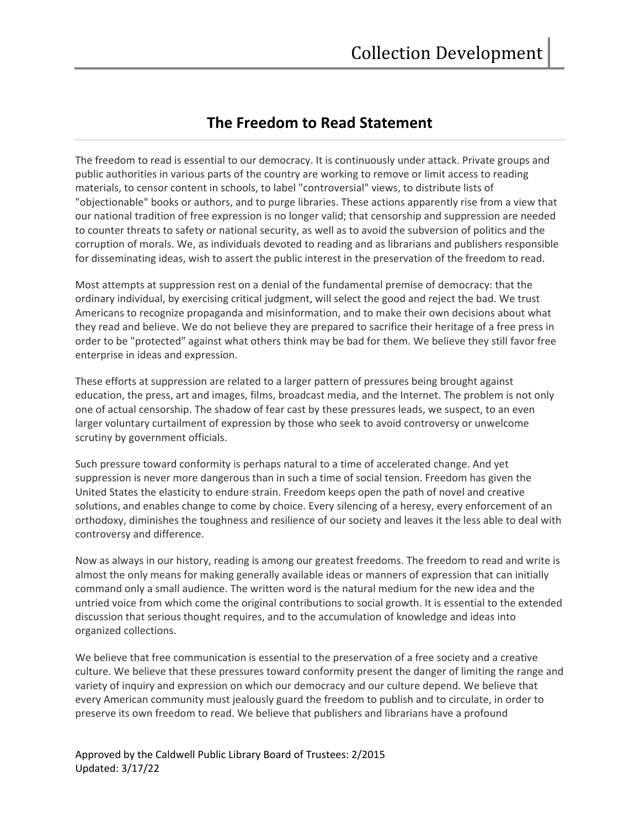## **The Freedom to Read Statement**

The freedom to read is essential to our democracy. It is continuously under attack. Private groups and public authorities in various parts of the country are working to remove or limit access to reading materials, to censor content in schools, to label "controversial" views, to distribute lists of "objectionable" books or authors, and to purge libraries. These actions apparently rise from a view that our national tradition of free expression is no longer valid; that censorship and suppression are needed to counter threats to safety or national security, as well as to avoid the subversion of politics and the corruption of morals. We, as individuals devoted to reading and as librarians and publishers responsible for disseminating ideas, wish to assert the public interest in the preservation of the freedom to read.

Most attempts at suppression rest on a denial of the fundamental premise of democracy: that the ordinary individual, by exercising critical judgment, will select the good and reject the bad. We trust Americans to recognize propaganda and misinformation, and to make their own decisions about what they read and believe. We do not believe they are prepared to sacrifice their heritage of a free press in order to be "protected" against what others think may be bad for them. We believe they still favor free enterprise in ideas and expression.

These efforts at suppression are related to a larger pattern of pressures being brought against education, the press, art and images, films, broadcast media, and the Internet. The problem is not only one of actual censorship. The shadow of fear cast by these pressures leads, we suspect, to an even larger voluntary curtailment of expression by those who seek to avoid controversy or unwelcome scrutiny by government officials.

Such pressure toward conformity is perhaps natural to a time of accelerated change. And yet suppression is never more dangerous than in such a time of social tension. Freedom has given the United States the elasticity to endure strain. Freedom keeps open the path of novel and creative solutions, and enables change to come by choice. Every silencing of a heresy, every enforcement of an orthodoxy, diminishes the toughness and resilience of our society and leaves it the less able to deal with controversy and difference.

Now as always in our history, reading is among our greatest freedoms. The freedom to read and write is almost the only means for making generally available ideas or manners of expression that can initially command only a small audience. The written word is the natural medium for the new idea and the untried voice from which come the original contributions to social growth. It is essential to the extended discussion that serious thought requires, and to the accumulation of knowledge and ideas into organized collections.

We believe that free communication is essential to the preservation of a free society and a creative culture. We believe that these pressures toward conformity present the danger of limiting the range and variety of inquiry and expression on which our democracy and our culture depend. We believe that every American community must jealously guard the freedom to publish and to circulate, in order to preserve its own freedom to read. We believe that publishers and librarians have a profound

Approved by the Caldwell Public Library Board of Trustees: 2/2015 Updated: 3/17/22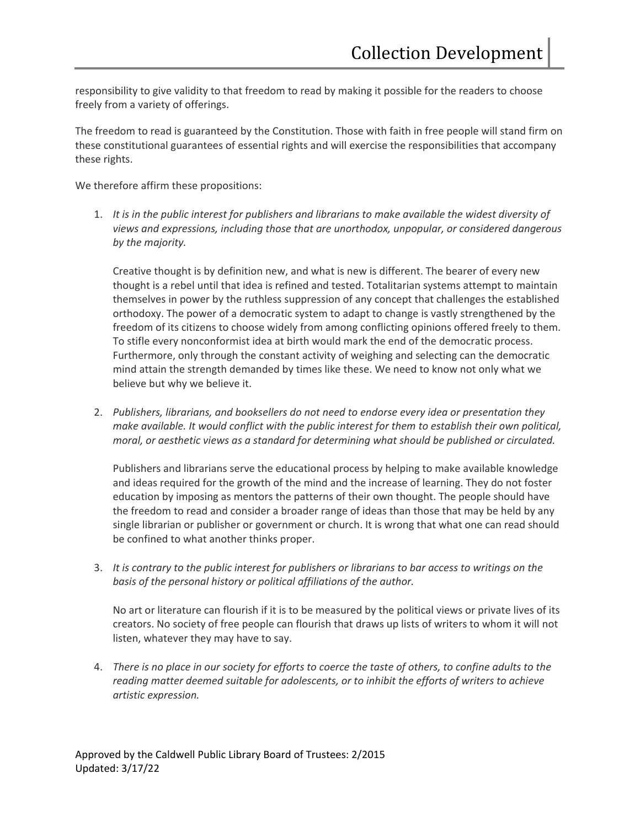responsibility to give validity to that freedom to read by making it possible for the readers to choose freely from a variety of offerings.

The freedom to read is guaranteed by the Constitution. Those with faith in free people will stand firm on these constitutional guarantees of essential rights and will exercise the responsibilities that accompany these rights.

We therefore affirm these propositions:

1. *It is in the public interest for publishers and librarians to make available the widest diversity of views and expressions, including those that are unorthodox, unpopular, or considered dangerous by the majority.*

Creative thought is by definition new, and what is new is different. The bearer of every new thought is a rebel until that idea is refined and tested. Totalitarian systems attempt to maintain themselves in power by the ruthless suppression of any concept that challenges the established orthodoxy. The power of a democratic system to adapt to change is vastly strengthened by the freedom of its citizens to choose widely from among conflicting opinions offered freely to them. To stifle every nonconformist idea at birth would mark the end of the democratic process. Furthermore, only through the constant activity of weighing and selecting can the democratic mind attain the strength demanded by times like these. We need to know not only what we believe but why we believe it.

2. *Publishers, librarians, and booksellers do not need to endorse every idea or presentation they make available. It would conflict with the public interest for them to establish their own political, moral, or aesthetic views as a standard for determining what should be published or circulated.*

Publishers and librarians serve the educational process by helping to make available knowledge and ideas required for the growth of the mind and the increase of learning. They do not foster education by imposing as mentors the patterns of their own thought. The people should have the freedom to read and consider a broader range of ideas than those that may be held by any single librarian or publisher or government or church. It is wrong that what one can read should be confined to what another thinks proper.

3. *It is contrary to the public interest for publishers or librarians to bar access to writings on the basis of the personal history or political affiliations of the author.*

No art or literature can flourish if it is to be measured by the political views or private lives of its creators. No society of free people can flourish that draws up lists of writers to whom it will not listen, whatever they may have to say.

4. *There is no place in our society for efforts to coerce the taste of others, to confine adults to the reading matter deemed suitable for adolescents, or to inhibit the efforts of writers to achieve artistic expression.*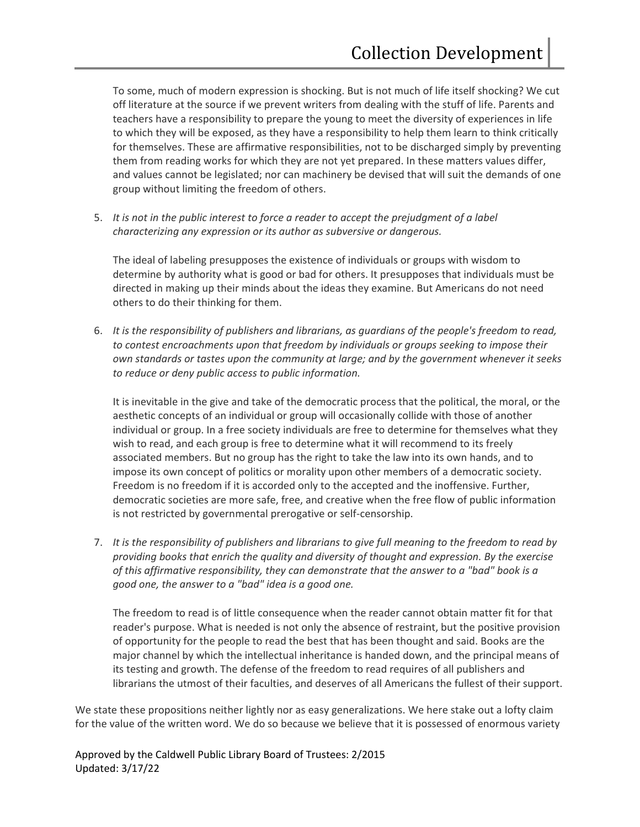To some, much of modern expression is shocking. But is not much of life itself shocking? We cut off literature at the source if we prevent writers from dealing with the stuff of life. Parents and teachers have a responsibility to prepare the young to meet the diversity of experiences in life to which they will be exposed, as they have a responsibility to help them learn to think critically for themselves. These are affirmative responsibilities, not to be discharged simply by preventing them from reading works for which they are not yet prepared. In these matters values differ, and values cannot be legislated; nor can machinery be devised that will suit the demands of one group without limiting the freedom of others.

5. *It is not in the public interest to force a reader to accept the prejudgment of a label characterizing any expression or its author as subversive or dangerous.*

The ideal of labeling presupposes the existence of individuals or groups with wisdom to determine by authority what is good or bad for others. It presupposes that individuals must be directed in making up their minds about the ideas they examine. But Americans do not need others to do their thinking for them.

6. *It is the responsibility of publishers and librarians, as guardians of the people's freedom to read, to contest encroachments upon that freedom by individuals or groups seeking to impose their own standards or tastes upon the community at large; and by the government whenever it seeks to reduce or deny public access to public information.*

It is inevitable in the give and take of the democratic process that the political, the moral, or the aesthetic concepts of an individual or group will occasionally collide with those of another individual or group. In a free society individuals are free to determine for themselves what they wish to read, and each group is free to determine what it will recommend to its freely associated members. But no group has the right to take the law into its own hands, and to impose its own concept of politics or morality upon other members of a democratic society. Freedom is no freedom if it is accorded only to the accepted and the inoffensive. Further, democratic societies are more safe, free, and creative when the free flow of public information is not restricted by governmental prerogative or self-censorship.

7. *It is the responsibility of publishers and librarians to give full meaning to the freedom to read by providing books that enrich the quality and diversity of thought and expression. By the exercise of this affirmative responsibility, they can demonstrate that the answer to a "bad" book is a good one, the answer to a "bad" idea is a good one.*

The freedom to read is of little consequence when the reader cannot obtain matter fit for that reader's purpose. What is needed is not only the absence of restraint, but the positive provision of opportunity for the people to read the best that has been thought and said. Books are the major channel by which the intellectual inheritance is handed down, and the principal means of its testing and growth. The defense of the freedom to read requires of all publishers and librarians the utmost of their faculties, and deserves of all Americans the fullest of their support.

We state these propositions neither lightly nor as easy generalizations. We here stake out a lofty claim for the value of the written word. We do so because we believe that it is possessed of enormous variety

Approved by the Caldwell Public Library Board of Trustees: 2/2015 Updated: 3/17/22